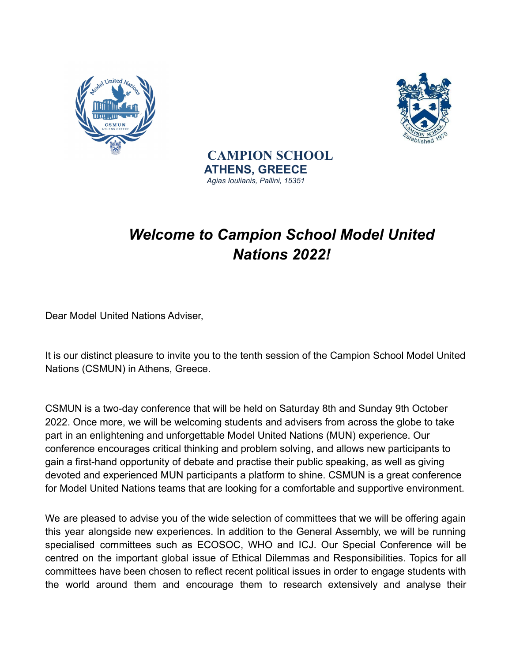



**CAMPION SCHOOL ATHENS, GREECE** *Agias Ioulianis, Pallini, 15351*

## *Welcome to Campion School Model United Nations 2022!*

Dear Model United Nations Adviser,

It is our distinct pleasure to invite you to the tenth session of the Campion School Model United Nations (CSMUN) in Athens, Greece.

CSMUN is a two-day conference that will be held on Saturday 8th and Sunday 9th October 2022. Once more, we will be welcoming students and advisers from across the globe to take part in an enlightening and unforgettable Model United Nations (MUN) experience. Our conference encourages critical thinking and problem solving, and allows new participants to gain a first-hand opportunity of debate and practise their public speaking, as well as giving devoted and experienced MUN participants a platform to shine. CSMUN is a great conference for Model United Nations teams that are looking for a comfortable and supportive environment.

We are pleased to advise you of the wide selection of committees that we will be offering again this year alongside new experiences. In addition to the General Assembly, we will be running specialised committees such as ECOSOC, WHO and ICJ. Our Special Conference will be centred on the important global issue of Ethical Dilemmas and Responsibilities. Topics for all committees have been chosen to reflect recent political issues in order to engage students with the world around them and encourage them to research extensively and analyse their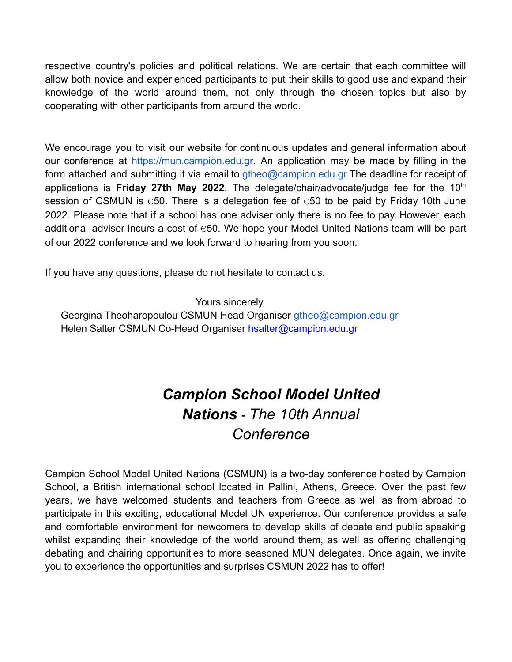respective country's policies and political relations. We are certain that each committee will allow both novice and experienced participants to put their skills to good use and expand their knowledge of the world around them, not only through the chosen topics but also by cooperating with other participants from around the world.

We encourage you to visit our website for continuous updates and general information about our conference at https://mun.campion.edu.gr. An application may be made by filling in the form attached and submitting it via email to gtheo@campion.edu.gr The deadline for receipt of applications is **Friday 27th May 2022**. The delegate/chair/advocate/judge fee for the 10th session of CSMUN is  $\epsilon$ 50. There is a delegation fee of  $\epsilon$ 50 to be paid by Friday 10th June 2022. Please note that if a school has one adviser only there is no fee to pay. However, each additional adviser incurs a cost of  $\epsilon$ 50. We hope your Model United Nations team will be part of our 2022 conference and we look forward to hearing from you soon.

If you have any questions, please do not hesitate to contact us.

Yours sincerely,

Georgina Theoharopoulou CSMUN Head Organiser gtheo@campion.edu.gr Helen Salter CSMUN Co-Head Organiser hsalter@campion.edu.gr

### *Campion School Model United Nations* - *The 10th Annual Conference*

Campion School Model United Nations (CSMUN) is a two-day conference hosted by Campion School, a British international school located in Pallini, Athens, Greece. Over the past few years, we have welcomed students and teachers from Greece as well as from abroad to participate in this exciting, educational Model UN experience. Our conference provides a safe and comfortable environment for newcomers to develop skills of debate and public speaking whilst expanding their knowledge of the world around them, as well as offering challenging debating and chairing opportunities to more seasoned MUN delegates. Once again, we invite you to experience the opportunities and surprises CSMUN 2022 has to offer!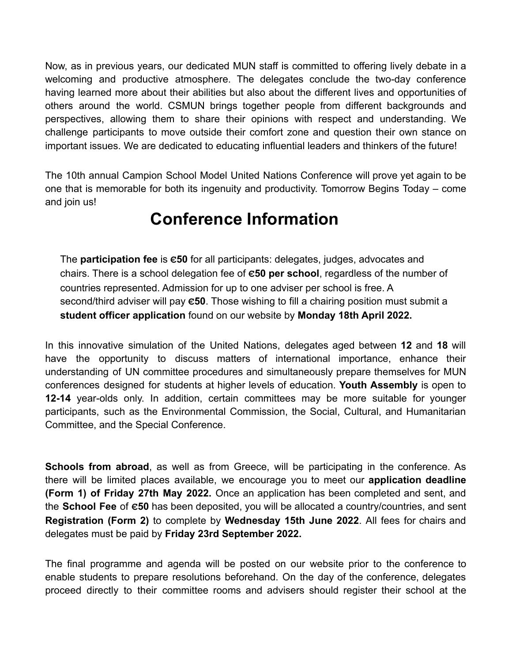Now, as in previous years, our dedicated MUN staff is committed to offering lively debate in a welcoming and productive atmosphere. The delegates conclude the two-day conference having learned more about their abilities but also about the different lives and opportunities of others around the world. CSMUN brings together people from different backgrounds and perspectives, allowing them to share their opinions with respect and understanding. We challenge participants to move outside their comfort zone and question their own stance on important issues. We are dedicated to educating influential leaders and thinkers of the future!

The 10th annual Campion School Model United Nations Conference will prove yet again to be one that is memorable for both its ingenuity and productivity. Tomorrow Begins Today – come and join us!

## **Conference Information**

The **participation fee** is **€50** for all participants: delegates, judges, advocates and chairs. There is a school delegation fee of **€50 per school**, regardless of the number of countries represented. Admission for up to one adviser per school is free. A second/third adviser will pay **€50**. Those wishing to fill a chairing position must submit a **student officer application** found on our website by **Monday 18th April 2022.**

In this innovative simulation of the United Nations, delegates aged between **12** and **18** will have the opportunity to discuss matters of international importance, enhance their understanding of UN committee procedures and simultaneously prepare themselves for MUN conferences designed for students at higher levels of education. **Youth Assembly** is open to **12-14** year-olds only. In addition, certain committees may be more suitable for younger participants, such as the Environmental Commission, the Social, Cultural, and Humanitarian Committee, and the Special Conference.

**Schools from abroad**, as well as from Greece, will be participating in the conference. As there will be limited places available, we encourage you to meet our **application deadline (Form 1) of Friday 27th May 2022.** Once an application has been completed and sent, and the **School Fee** of **€50** has been deposited, you will be allocated a country/countries, and sent **Registration (Form 2)** to complete by **Wednesday 15th June 2022**. All fees for chairs and delegates must be paid by **Friday 23rd September 2022.**

The final programme and agenda will be posted on our website prior to the conference to enable students to prepare resolutions beforehand. On the day of the conference, delegates proceed directly to their committee rooms and advisers should register their school at the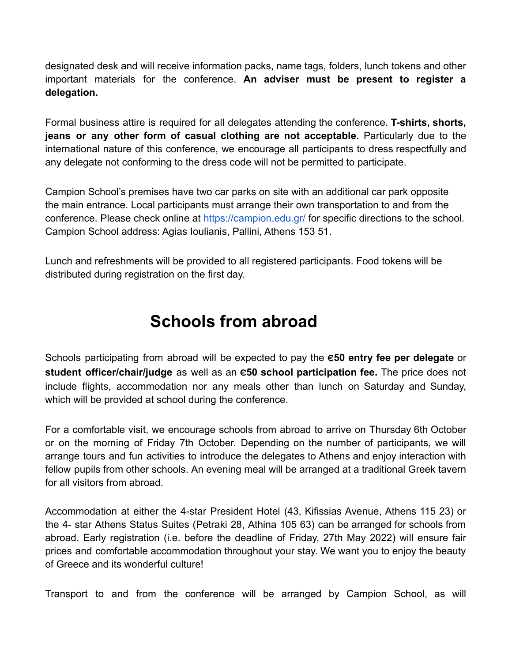designated desk and will receive information packs, name tags, folders, lunch tokens and other important materials for the conference. **An adviser must be present to register a delegation.**

Formal business attire is required for all delegates attending the conference. **T-shirts, shorts, jeans or any other form of casual clothing are not acceptable**. Particularly due to the international nature of this conference, we encourage all participants to dress respectfully and any delegate not conforming to the dress code will not be permitted to participate.

Campion School's premises have two car parks on site with an additional car park opposite the main entrance. Local participants must arrange their own transportation to and from the conference. Please check online at https://campion.edu.gr/ for specific directions to the school. Campion School address: Agias Ioulianis, Pallini, Athens 153 51.

Lunch and refreshments will be provided to all registered participants. Food tokens will be distributed during registration on the first day.

## **Schools from abroad**

Schools participating from abroad will be expected to pay the **€50 entry fee per delegate** or **student officer/chair/judge** as well as an **€50 school participation fee.** The price does not include flights, accommodation nor any meals other than lunch on Saturday and Sunday, which will be provided at school during the conference.

For a comfortable visit, we encourage schools from abroad to arrive on Thursday 6th October or on the morning of Friday 7th October. Depending on the number of participants, we will arrange tours and fun activities to introduce the delegates to Athens and enjoy interaction with fellow pupils from other schools. An evening meal will be arranged at a traditional Greek tavern for all visitors from abroad.

Accommodation at either the 4-star President Hotel (43, Kifissias Avenue, Athens 115 23) or the 4- star Athens Status Suites (Petraki 28, Athina 105 63) can be arranged for schools from abroad. Early registration (i.e. before the deadline of Friday, 27th May 2022) will ensure fair prices and comfortable accommodation throughout your stay. We want you to enjoy the beauty of Greece and its wonderful culture!

Transport to and from the conference will be arranged by Campion School, as will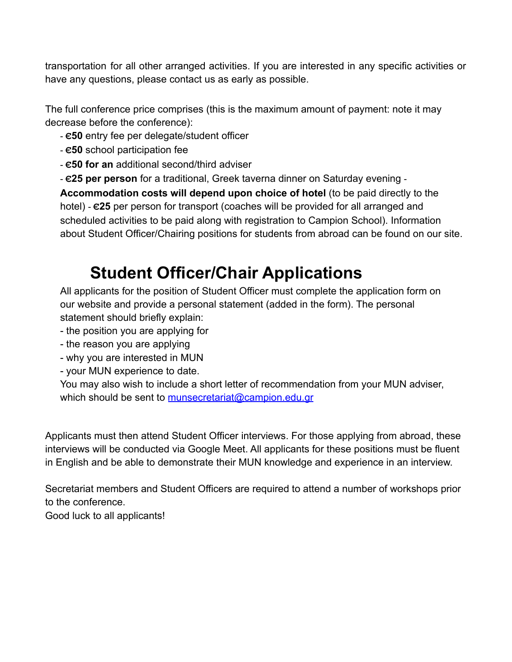transportation for all other arranged activities. If you are interested in any specific activities or have any questions, please contact us as early as possible.

The full conference price comprises (this is the maximum amount of payment: note it may decrease before the conference):

- **€50** entry fee per delegate/student officer

- **€50** school participation fee
- **€50 for an** additional second/third adviser
- **€25 per person** for a traditional, Greek taverna dinner on Saturday evening -

**Accommodation costs will depend upon choice of hotel** (to be paid directly to the hotel) - **€25** per person for transport (coaches will be provided for all arranged and scheduled activities to be paid along with registration to Campion School). Information about Student Officer/Chairing positions for students from abroad can be found on our site.

# **Student Officer/Chair Applications**

All applicants for the position of Student Officer must complete the application form on our website and provide a personal statement (added in the form). The personal statement should briefly explain:

- the position you are applying for
- the reason you are applying
- why you are interested in MUN
- your MUN experience to date.

You may also wish to include a short letter of recommendation from your MUN adviser, which should be sent to [munsecretariat@campion.edu.gr](mailto:munsecretariat@campion.edu.gr)

Applicants must then attend Student Officer interviews. For those applying from abroad, these interviews will be conducted via Google Meet. All applicants for these positions must be fluent in English and be able to demonstrate their MUN knowledge and experience in an interview.

Secretariat members and Student Officers are required to attend a number of workshops prior to the conference.

Good luck to all applicants!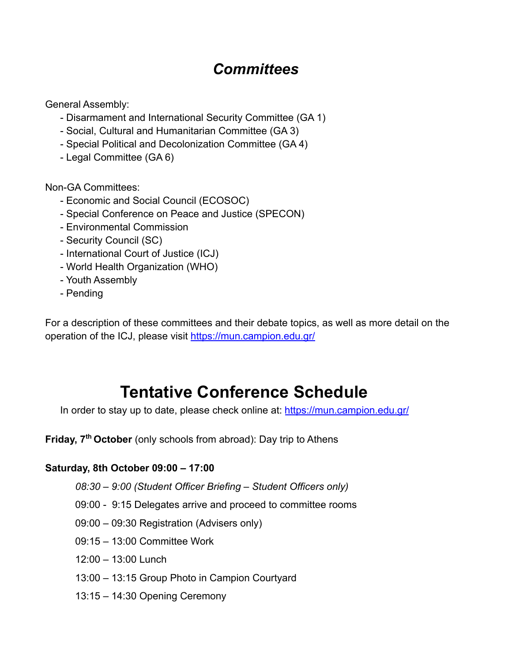### *Committees*

General Assembly:

- Disarmament and International Security Committee (GA 1)
- Social, Cultural and Humanitarian Committee (GA 3)
- Special Political and Decolonization Committee (GA 4)
- Legal Committee (GA 6)

Non-GA Committees:

- Economic and Social Council (ECOSOC)
- Special Conference on Peace and Justice (SPECON)
- Environmental Commission
- Security Council (SC)
- International Court of Justice (ICJ)
- World Health Organization (WHO)
- Youth Assembly
- Pending

For a description of these committees and their debate topics, as well as more detail on the operation of the ICJ, please visit <https://mun.campion.edu.gr/>

## **Tentative Conference Schedule**

In order to stay up to date, please check online at: <https://mun.campion.edu.gr/>

**Friday, 7th October** (only schools from abroad): Day trip to Athens

#### **Saturday, 8th October 09:00 – 17:00**

- *08:30 9:00 (Student Officer Briefing Student Officers only)*
- 09:00 9:15 Delegates arrive and proceed to committee rooms
- 09:00 09:30 Registration (Advisers only)
- 09:15 13:00 Committee Work
- 12:00 13:00 Lunch
- 13:00 13:15 Group Photo in Campion Courtyard
- 13:15 14:30 Opening Ceremony